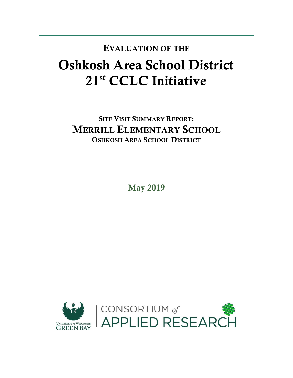## Oshkosh Area School District 21st CCLC Initiative EVALUATION OF THE

SITE VISIT SUMMARY REPORT: MERRILL ELEMENTARY SCHOOL OSHKOSH AREA SCHOOL DISTRICT

May 2019

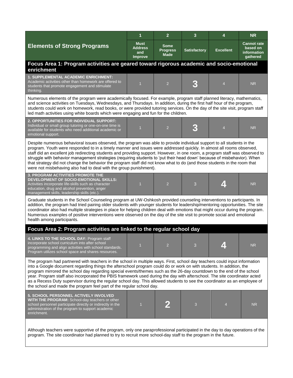|                                                                                                                                                                                                                                                                                                                                                                                                                                                                                                                                                                                                                                                                                                              | 1                                               | $\overline{2}$                                | 3                   | 4                       | <b>NR</b>                                                 |  |  |  |
|--------------------------------------------------------------------------------------------------------------------------------------------------------------------------------------------------------------------------------------------------------------------------------------------------------------------------------------------------------------------------------------------------------------------------------------------------------------------------------------------------------------------------------------------------------------------------------------------------------------------------------------------------------------------------------------------------------------|-------------------------------------------------|-----------------------------------------------|---------------------|-------------------------|-----------------------------------------------------------|--|--|--|
| <b>Elements of Strong Programs</b>                                                                                                                                                                                                                                                                                                                                                                                                                                                                                                                                                                                                                                                                           | <b>Must</b><br><b>Address</b><br>and<br>Improve | <b>Some</b><br><b>Progress</b><br><b>Made</b> | <b>Satisfactory</b> | <b>Excellent</b>        | <b>Cannot rate</b><br>based on<br>information<br>gathered |  |  |  |
| Focus Area 1: Program activities are geared toward rigorous academic and socio-emotional<br>enrichment                                                                                                                                                                                                                                                                                                                                                                                                                                                                                                                                                                                                       |                                                 |                                               |                     |                         |                                                           |  |  |  |
| <b>1. SUPPLEMENTAL ACADEMIC ENRICHMENT:</b><br>Academic activities other than homework are offered to<br>students that promote engagement and stimulate<br>thinking.                                                                                                                                                                                                                                                                                                                                                                                                                                                                                                                                         | $\overline{1}$                                  | $\overline{2}$                                |                     | $\overline{4}$          | <b>NR</b>                                                 |  |  |  |
| Numerous elements of the program were academically focused. For example, program staff planned literacy, mathematics,<br>and science activities on Tuesdays, Wednesdays, and Thursdays. In addition, during the first half hour of the program,<br>students could work on homework, read books, or were provided tutoring services. On the day of the site visit, program staff<br>led math activities using white boards which were engaging and fun for the children.                                                                                                                                                                                                                                      |                                                 |                                               |                     |                         |                                                           |  |  |  |
| 2. OPPORTUNITIES FOR INDIVIDUAL SUPPORT:<br>Individual or small group tutoring or one-on-one time is<br>available for students who need additional academic or<br>emotional support.                                                                                                                                                                                                                                                                                                                                                                                                                                                                                                                         | $\overline{1}$                                  | $\overline{2}$                                |                     | $\overline{4}$          | <b>NR</b>                                                 |  |  |  |
| Despite numerous behavioral issues observed, the program was able to provide individual support to all students in the<br>program. Youth were responded to in a timely manner and issues were addressed quickly. In almost all rooms observed,<br>staff did an excellent job redirecting students and providing support. However, in one room, a program staff was observed to<br>struggle with behavior management strategies (requiring students to 'put their head down' because of misbehavior). When<br>that strategy did not change the behavior the program staff did not know what to do (and those students in the room that<br>were not misbehaving also had to deal with the group punishment).   |                                                 |                                               |                     |                         |                                                           |  |  |  |
| <b>3. PROGRAM ACTIVITIES PROMOTE THE</b><br>DEVELOPMENT OF SOCIO-EMOTIONAL SKILLS:<br>Activities incorporate life-skills such as character<br>education, drug and alcohol prevention, anger<br>management skills, leadership skills (etc.)                                                                                                                                                                                                                                                                                                                                                                                                                                                                   | $\overline{1}$                                  | $\overline{2}$                                | 3                   | $\overline{\mathbf{A}}$ | <b>NR</b>                                                 |  |  |  |
| Graduate students in the School Counseling program at UW-Oshkosh provided counseling interventions to participants. In<br>addition, the program had tried pairing older students with younger students for leadership/mentoring opportunities. The site<br>coordinator also had multiple strategies in place for helping children deal with emotions that might occur during the program.<br>Numerous examples of positive interventions were observed on the day of the site visit to promote social and emotional<br>health among participants.                                                                                                                                                            |                                                 |                                               |                     |                         |                                                           |  |  |  |
| Focus Area 2: Program activities are linked to the regular school day                                                                                                                                                                                                                                                                                                                                                                                                                                                                                                                                                                                                                                        |                                                 |                                               |                     |                         |                                                           |  |  |  |
| 4. LINKS TO THE SCHOOL DAY: Program staff<br>incorporate school curriculum into after school<br>programming and align activities with school standards.<br>Program utilizes school space and shares resources.                                                                                                                                                                                                                                                                                                                                                                                                                                                                                               |                                                 |                                               |                     |                         | <b>NR</b>                                                 |  |  |  |
| The program had partnered with teachers in the school in multiple ways. First, school day teachers could input information<br>into a Google document regarding things the afterschool program could do or work on with students. In addition, the<br>program mirrored the school day regarding special events/themes such as the 26-day countdown to the end of the school<br>year. Program staff also incorporated the PBIS framework used during the day with afterschool. The site coordinator acted<br>as a Recess Duty supervisor during the regular school day. This allowed students to see the coordinator as an employee of<br>the school and made the program feel part of the regular school day. |                                                 |                                               |                     |                         |                                                           |  |  |  |
| 5. SCHOOL PERSONNEL ACTIVELY INVOLVED<br>WITH THE PROGRAM: School-day teachers or other<br>school personnel participate directly or indirectly in the<br>administration of the program to support academic<br>enrichment.                                                                                                                                                                                                                                                                                                                                                                                                                                                                                    | $\overline{1}$                                  |                                               | 3                   | $\overline{4}$          | <b>NR</b>                                                 |  |  |  |
| Although teachers were supportive of the program, only one paraprofessional participated in the day to day operations of the<br>program. The site coordinator had planned to try to recruit more school-day staff to the program in the future.                                                                                                                                                                                                                                                                                                                                                                                                                                                              |                                                 |                                               |                     |                         |                                                           |  |  |  |